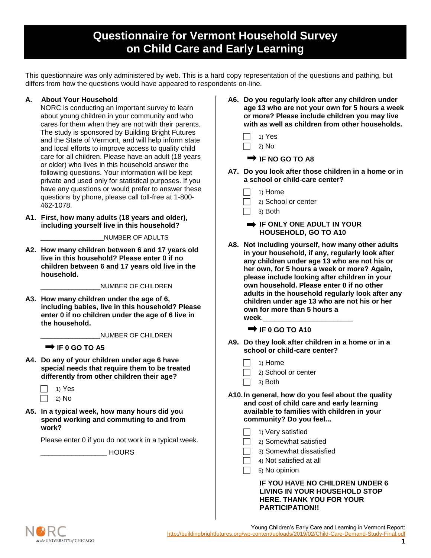# **Questionnaire for Vermont Household Survey on Child Care and Early Learning**

This questionnaire was only administered by web. This is a hard copy representation of the questions and pathing, but differs from how the questions would have appeared to respondents on-line.

## **A. About Your Household**

NORC is conducting an important survey to learn about young children in your community and who cares for them when they are not with their parents. The study is sponsored by Building Bright Futures and the State of Vermont, and will help inform state and local efforts to improve access to quality child care for all children. Please have an adult (18 years or older) who lives in this household answer the following questions. Your information will be kept private and used only for statistical purposes. If you have any questions or would prefer to answer these questions by phone, please call toll-free at 1-800- 462-1078.

**A1. First, how many adults (18 years and older), including yourself live in this household?** 

\_\_\_\_\_\_\_\_\_\_\_\_\_\_\_\_\_\_NUMBER OF ADULTS

**A2. How many children between 6 and 17 years old live in this household? Please enter 0 if no children between 6 and 17 years old live in the household.**

\_\_\_\_\_\_\_\_\_\_\_\_\_\_\_\_\_NUMBER OF CHILDREN

**A3. How many children under the age of 6, including babies, live in this household? Please enter 0 if no children under the age of 6 live in the household.**

\_\_\_\_\_\_\_\_\_\_\_\_\_\_\_\_\_NUMBER OF CHILDREN

**IF 0 GO TO A5** 

- **A4. Do any of your children under age 6 have special needs that require them to be treated differently from other children their age?**
	- $\Box$  1) Yes  $\Box$  2) No
- **A5. In a typical week, how many hours did you spend working and commuting to and from work?**

Please enter 0 if you do not work in a typical week.

\_\_\_\_\_\_\_\_\_\_\_\_\_\_\_\_\_ HOURS

- **A6. Do you regularly look after any children under age 13 who are not your own for 5 hours a week or more? Please include children you may live with as well as children from other households.**
	- 1) Yes
	- 2) No

**IF NO GO TO A8**

- **A7. Do you look after those children in a home or in a school or child-care center?** 
	- 1) Home
	- 2) School or center
	- 3) Both
	- **IF ONLY ONE ADULT IN YOUR HOUSEHOLD, GO TO A10**
- **A8. Not including yourself, how many other adults in your household, if any, regularly look after any children under age 13 who are not his or her own, for 5 hours a week or more? Again, please include looking after children in your own household. Please enter 0 if no other adults in the household regularly look after any children under age 13 who are not his or her own for more than 5 hours a**  week.

**IF 0 GO TO A10** 

- **A9. Do they look after children in a home or in a school or child-care center?** 
	- 1) Home
	- $\Box$  2) School or center
	- $\Box$  3) Both
- **A10.In general, how do you feel about the quality and cost of child care and early learning available to families with children in your community? Do you feel...**
	- 1) Very satisfied
	- 2) Somewhat satisfied
	- 3) Somewhat dissatisfied
		- 4) Not satisfied at all
	- 5) No opinion

### **IF YOU HAVE NO CHILDREN UNDER 6 LIVING IN YOUR HOUSEHOLD STOP HERE. THANK YOU FOR YOUR PARTICIPATION!!**



Young Children's Early Care and Learning in Vermont Report: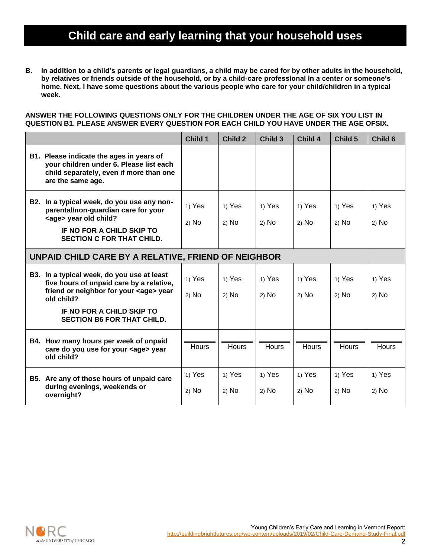# **Child care and early learning that your household uses**

**B. In addition to a child's parents or legal guardians, a child may be cared for by other adults in the household, by relatives or friends outside of the household, or by a child-care professional in a center or someone's home. Next, I have some questions about the various people who care for your child/children in a typical week.**

#### **ANSWER THE FOLLOWING QUESTIONS ONLY FOR THE CHILDREN UNDER THE AGE OF SIX YOU LIST IN QUESTION B1. PLEASE ANSWER EVERY QUESTION FOR EACH CHILD YOU HAVE UNDER THE AGE OFSIX.**

|                                                                                                                                                                                     | Child 1           | <b>Child 2</b>    | Child 3           | Child 4           | Child 5           | Child 6         |
|-------------------------------------------------------------------------------------------------------------------------------------------------------------------------------------|-------------------|-------------------|-------------------|-------------------|-------------------|-----------------|
| B1. Please indicate the ages in years of<br>your children under 6. Please list each<br>child separately, even if more than one<br>are the same age.                                 |                   |                   |                   |                   |                   |                 |
| B2. In a typical week, do you use any non-<br>parental/non-guardian care for your<br><age> year old child?<br/>IF NO FOR A CHILD SKIP TO<br/><b>SECTION C FOR THAT CHILD.</b></age> | 1) Yes<br>$2)$ No | 1) Yes<br>$2)$ No | 1) Yes<br>$2)$ No | 1) Yes<br>$2)$ No | 1) Yes<br>$2)$ No | 1) Yes<br>2) No |
| UNPAID CHILD CARE BY A RELATIVE, FRIEND OF NEIGHBOR                                                                                                                                 |                   |                   |                   |                   |                   |                 |
| B3. In a typical week, do you use at least<br>five hours of unpaid care by a relative,<br>friend or neighbor for your <age> year<br/>old child?</age>                               | 1) Yes<br>$2)$ No | 1) Yes<br>$2)$ No | 1) Yes<br>$2)$ No | 1) Yes<br>$2)$ No | 1) Yes<br>$2)$ No | 1) Yes<br>2) No |
| IF NO FOR A CHILD SKIP TO<br><b>SECTION B6 FOR THAT CHILD.</b>                                                                                                                      |                   |                   |                   |                   |                   |                 |
| B4. How many hours per week of unpaid<br>care do you use for your <age> year<br/>old child?</age>                                                                                   | Hours             | <b>Hours</b>      | <b>Hours</b>      | <b>Hours</b>      | <b>Hours</b>      | Hours           |
| B5. Are any of those hours of unpaid care<br>during evenings, weekends or<br>overnight?                                                                                             | 1) Yes<br>$2)$ No | 1) Yes<br>$2)$ No | 1) Yes<br>$2)$ No | 1) Yes<br>$2)$ No | 1) Yes<br>$2)$ No | 1) Yes<br>2) No |

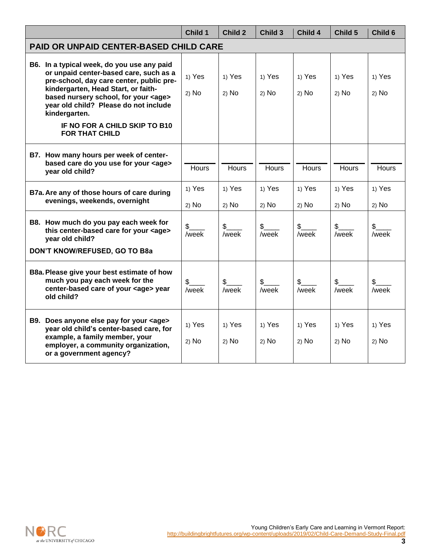|                                                                                                                                                                                                                                                                                                                                               | Child 1                | Child 2                | Child 3           | Child 4                | Child 5                 | Child 6                |
|-----------------------------------------------------------------------------------------------------------------------------------------------------------------------------------------------------------------------------------------------------------------------------------------------------------------------------------------------|------------------------|------------------------|-------------------|------------------------|-------------------------|------------------------|
| PAID OR UNPAID CENTER-BASED CHILD CARE                                                                                                                                                                                                                                                                                                        |                        |                        |                   |                        |                         |                        |
| B6. In a typical week, do you use any paid<br>or unpaid center-based care, such as a<br>pre-school, day care center, public pre-<br>kindergarten, Head Start, or faith-<br>based nursery school, for your <age><br/>year old child? Please do not include<br/>kindergarten.<br/>IF NO FOR A CHILD SKIP TO B10<br/><b>FOR THAT CHILD</b></age> | 1) Yes<br>2) No        | 1) Yes<br>$2)$ No      | 1) Yes<br>$2)$ No | 1) Yes<br>$2)$ No      | 1) Yes<br>$2)$ No       | 1) Yes<br>2) No        |
| B7. How many hours per week of center-<br>based care do you use for your <age><br/>year old child?</age>                                                                                                                                                                                                                                      | <b>Hours</b>           | Hours                  | Hours             | Hours                  | <b>Hours</b>            | Hours                  |
| B7a. Are any of those hours of care during<br>evenings, weekends, overnight                                                                                                                                                                                                                                                                   | 1) Yes<br>2) No        | 1) Yes<br>$2)$ No      | 1) Yes<br>$2)$ No | 1) Yes<br>$2)$ No      | 1) Yes<br>$2)$ No       | 1) Yes<br>$2)$ No      |
| B8. How much do you pay each week for<br>this center-based care for your <age><br/>year old child?<br/>DON'T KNOW/REFUSED, GO TO B8a</age>                                                                                                                                                                                                    | $\frac{2}{2}$<br>week/ | $\frac{1}{2}$<br>/week | /week             | $\frac{1}{2}$<br>/week | $\frac{1}{2}$<br>/week  | $\frac{1}{2}$<br>/week |
| B8a. Please give your best estimate of how<br>much you pay each week for the<br>center-based care of your <age> year<br/>old child?</age>                                                                                                                                                                                                     | \$<br>/week            | $\frac{2}{2}$<br>/week | \$<br>/week       | $\frac{1}{2}$<br>/week | $\mathfrak{S}$<br>/week | \$<br>/week            |
| B9. Does anyone else pay for your <age><br/>year old child's center-based care, for<br/>example, a family member, your<br/>employer, a community organization,<br/>or a government agency?</age>                                                                                                                                              | 1) Yes<br>$2)$ No      | 1) Yes<br>$2)$ No      | 1) Yes<br>$2)$ No | 1) Yes<br>2) No        | 1) Yes<br>$2)$ No       | 1) Yes<br>2) No        |

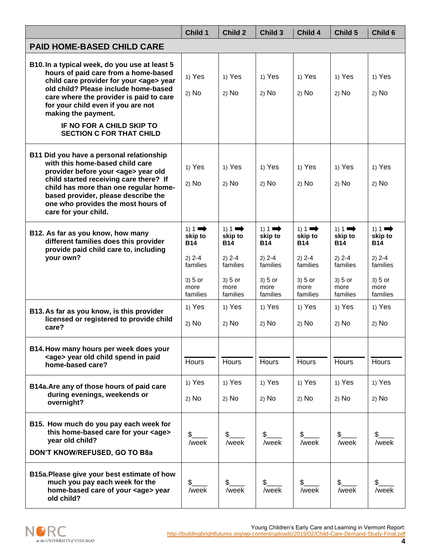|                                                                                                                                                                                                                                                                                                                                                              | Child 1                                                                                    | Child 2                                                                                  | Child 3                                                                                  | Child 4                                                                                  | Child 5                                                                                  | Child 6                                                                                  |
|--------------------------------------------------------------------------------------------------------------------------------------------------------------------------------------------------------------------------------------------------------------------------------------------------------------------------------------------------------------|--------------------------------------------------------------------------------------------|------------------------------------------------------------------------------------------|------------------------------------------------------------------------------------------|------------------------------------------------------------------------------------------|------------------------------------------------------------------------------------------|------------------------------------------------------------------------------------------|
| <b>PAID HOME-BASED CHILD CARE</b>                                                                                                                                                                                                                                                                                                                            |                                                                                            |                                                                                          |                                                                                          |                                                                                          |                                                                                          |                                                                                          |
| B10. In a typical week, do you use at least 5<br>hours of paid care from a home-based<br>child care provider for your <age> year<br/>old child? Please include home-based<br/>care where the provider is paid to care<br/>for your child even if you are not<br/>making the payment.<br/>IF NO FOR A CHILD SKIP TO<br/><b>SECTION C FOR THAT CHILD</b></age> | 1) Yes                                                                                     | 1) Yes                                                                                   | 1) Yes                                                                                   | 1) Yes                                                                                   | 1) Yes                                                                                   | 1) Yes                                                                                   |
|                                                                                                                                                                                                                                                                                                                                                              | 2) No                                                                                      | $2)$ No                                                                                  | $2)$ No                                                                                  | 2) No                                                                                    | $2)$ No                                                                                  | 2) No                                                                                    |
| B11 Did you have a personal relationship<br>with this home-based child care<br>provider before your <age> year old<br/>child started receiving care there? If<br/>child has more than one regular home-<br/>based provider, please describe the<br/>one who provides the most hours of<br/>care for your child.</age>                                        | 1) Yes<br>$2)$ No                                                                          | 1) Yes<br>$2)$ No                                                                        | 1) Yes<br>$2)$ No                                                                        | 1) Yes<br>$2)$ No                                                                        | 1) Yes<br>$2)$ No                                                                        | 1) Yes<br>2) No                                                                          |
| B12. As far as you know, how many<br>different families does this provider<br>provide paid child care to, including<br>your own?                                                                                                                                                                                                                             | $1) 1 \rightarrow$<br>skip to<br><b>B14</b><br>$2) 2 - 4$<br>families<br>$3) 5$ or<br>more | $1) 1 \rightarrow$<br>skip to<br><b>B14</b><br>$2) 2 - 4$<br>families<br>3) 5 or<br>more | $1) 1 \rightarrow$<br>skip to<br><b>B14</b><br>$2) 2 - 4$<br>families<br>3) 5 or<br>more | $1) 1 \rightarrow$<br>skip to<br><b>B14</b><br>$2) 2 - 4$<br>families<br>3) 5 or<br>more | $1) 1 \rightarrow$<br>skip to<br><b>B14</b><br>$2) 2 - 4$<br>families<br>3) 5 or<br>more | $1) 1 \rightarrow$<br>skip to<br><b>B14</b><br>$2) 2 - 4$<br>families<br>3) 5 or<br>more |
|                                                                                                                                                                                                                                                                                                                                                              | families                                                                                   | families                                                                                 | families                                                                                 | families                                                                                 | families                                                                                 | families                                                                                 |
| B13. As far as you know, is this provider<br>licensed or registered to provide child<br>care?                                                                                                                                                                                                                                                                | 1) Yes<br>$2)$ No                                                                          | 1) Yes<br>$2)$ No                                                                        | 1) Yes<br>$2)$ No                                                                        | 1) Yes<br>$2)$ No                                                                        | 1) Yes<br>$2)$ No                                                                        | 1) Yes<br>2) No                                                                          |
| B14. How many hours per week does your                                                                                                                                                                                                                                                                                                                       |                                                                                            |                                                                                          |                                                                                          |                                                                                          |                                                                                          |                                                                                          |
| <age> year old child spend in paid<br/>home-based care?</age>                                                                                                                                                                                                                                                                                                | Hours                                                                                      | Hours                                                                                    | Hours                                                                                    | Hours                                                                                    | Hours                                                                                    | <b>Hours</b>                                                                             |
| B14a. Are any of those hours of paid care                                                                                                                                                                                                                                                                                                                    | 1) Yes                                                                                     | 1) Yes                                                                                   | 1) Yes                                                                                   | 1) Yes                                                                                   | 1) Yes                                                                                   | 1) Yes                                                                                   |
| during evenings, weekends or<br>overnight?                                                                                                                                                                                                                                                                                                                   | $2)$ No                                                                                    | $2)$ No                                                                                  | $2)$ No                                                                                  | $2)$ No                                                                                  | $2)$ No                                                                                  | 2) No                                                                                    |
| B15. How much do you pay each week for<br>this home-based care for your <age><br/>year old child?<br/>DON'T KNOW/REFUSED, GO TO B8a</age>                                                                                                                                                                                                                    | \$<br>/week                                                                                | \$<br>/week                                                                              | \$<br>/week                                                                              | \$<br>/week                                                                              | /week                                                                                    | S.<br>/week                                                                              |
| B15a. Please give your best estimate of how<br>much you pay each week for the<br>home-based care of your <age> year<br/>old child?</age>                                                                                                                                                                                                                     | \$<br>/week                                                                                | \$<br>/week                                                                              | \$<br>/week                                                                              | /week                                                                                    | S.<br>/week                                                                              | /week                                                                                    |

Young Children's Early Care and Learning in Vermont Report: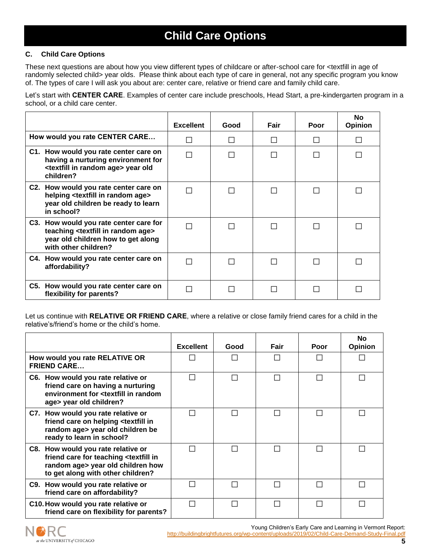# **Child Care Options**

## **C. Child Care Options**

These next questions are about how you view different types of childcare or after-school care for <textfill in age of randomly selected child> year olds. Please think about each type of care in general, not any specific program you know of. The types of care I will ask you about are: center care, relative or friend care and family child care.

Let's start with **CENTER CARE**. Examples of center care include preschools, Head Start, a pre-kindergarten program in a school, or a child care center.

|                                                                                                                                                                 | <b>Excellent</b> | Good | Fair | Poor | <b>No</b><br><b>Opinion</b> |
|-----------------------------------------------------------------------------------------------------------------------------------------------------------------|------------------|------|------|------|-----------------------------|
| How would you rate CENTER CARE                                                                                                                                  | ΙI               |      |      |      |                             |
| C1. How would you rate center care on<br>having a nurturing environment for<br><textfill age="" in="" random=""> year old<br/>children?</textfill>              | П                |      |      |      |                             |
| C2. How would you rate center care on<br>helping <textfill age="" in="" random=""><br/>year old children be ready to learn<br/>in school?</textfill>            | П                |      |      |      |                             |
| C3. How would you rate center care for<br>teaching <textfill age="" in="" random=""><br/>year old children how to get along<br/>with other children?</textfill> |                  |      |      |      |                             |
| C4. How would you rate center care on<br>affordability?                                                                                                         |                  |      |      |      |                             |
| C5. How would you rate center care on<br>flexibility for parents?                                                                                               |                  |      |      |      |                             |

Let us continue with **RELATIVE OR FRIEND CARE**, where a relative or close family friend cares for a child in the relative's/friend's home or the child's home.

|                                                                                                                                                                         | <b>Excellent</b> | Good | Fair         | Poor | <b>No</b><br><b>Opinion</b> |
|-------------------------------------------------------------------------------------------------------------------------------------------------------------------------|------------------|------|--------------|------|-----------------------------|
| How would you rate RELATIVE OR<br><b>FRIEND CARE</b>                                                                                                                    |                  |      | $\mathbf{L}$ |      |                             |
| C6. How would you rate relative or<br>friend care on having a nurturing<br>environment for <textfill in="" random<br="">age&gt; year old children?</textfill>           |                  |      | $\Box$       |      |                             |
| C7. How would you rate relative or<br>friend care on helping <textfill in<br="">random age&gt; year old children be<br/>ready to learn in school?</textfill>            |                  |      | $\Box$       |      |                             |
| C8. How would you rate relative or<br>friend care for teaching <textfill in<br="">random age&gt; year old children how<br/>to get along with other children?</textfill> |                  |      |              |      |                             |
| C9. How would you rate relative or<br>friend care on affordability?                                                                                                     |                  |      | L            |      |                             |
| C10. How would you rate relative or<br>friend care on flexibility for parents?                                                                                          |                  |      | L            |      |                             |



Young Children's Early Care and Learning in Vermont Report: <http://buildingbrightfutures.org/wp-content/uploads/2019/02/Child-Care-Demand-Study-Final.pdf>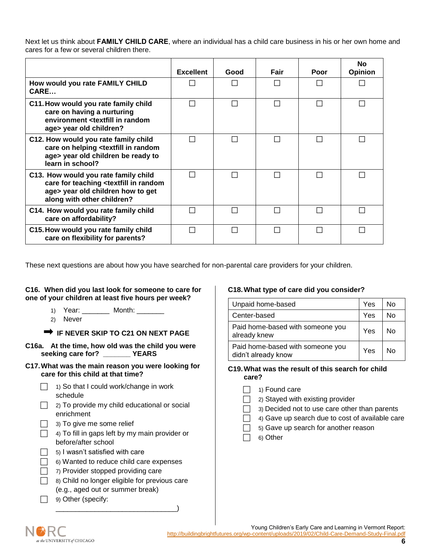Next let us think about **FAMILY CHILD CARE**, where an individual has a child care business in his or her own home and cares for a few or several children there.

|                                                                                                                                                                       | <b>Excellent</b> | Good          | Fair | Poor         | No<br><b>Opinion</b> |
|-----------------------------------------------------------------------------------------------------------------------------------------------------------------------|------------------|---------------|------|--------------|----------------------|
| How would you rate FAMILY CHILD<br>CARE                                                                                                                               |                  |               |      |              |                      |
| C11. How would you rate family child<br>care on having a nurturing<br>environment <textfill in="" random<br="">age&gt; year old children?</textfill>                  |                  |               |      | $\mathsf{L}$ |                      |
| C12. How would you rate family child<br>care on helping <textfill in="" random<br="">age&gt; year old children be ready to<br/>learn in school?</textfill>            |                  | $\mathcal{L}$ |      | $\Box$       |                      |
| C13. How would you rate family child<br>care for teaching <textfill in="" random<br="">age&gt; year old children how to get<br/>along with other children?</textfill> |                  |               |      | $\mathsf{L}$ |                      |
| C14. How would you rate family child<br>care on affordability?                                                                                                        |                  |               |      |              |                      |
| C15. How would you rate family child<br>care on flexibility for parents?                                                                                              |                  |               |      |              |                      |

These next questions are about how you have searched for non-parental care providers for your children.

### **C16. When did you last look for someone to care for one of your children at least five hours per week?**

- 1) Year: \_\_\_\_\_\_\_ Month: \_\_\_\_\_\_\_
- 2) Never

# **IF NEVER SKIP TO C21 ON NEXT PAGE**

- **C16a. At the time, how old was the child you were seeking care for? \_\_\_\_\_\_\_ YEARS**
- **C17.What was the main reason you were looking for care for this child at that time?**
	- $\Box$  1) So that I could work/change in work schedule
	- $\Box$  2) To provide my child educational or social enrichment
	- $\Box$  3) To give me some relief
	- $\Box$  4) To fill in gaps left by my main provider or before/after school
	- $\Box$  5) I wasn't satisfied with care
	- $\Box$  6) Wanted to reduce child care expenses
	- $\Box$  7) Provider stopped providing care
	- $\Box$  8) Child no longer eligible for previous care (e.g., aged out or summer break)

\_\_\_\_\_\_\_\_\_\_\_\_\_\_\_\_\_\_\_\_\_\_\_\_\_\_\_\_\_\_\_)

 $\Box$  9) Other (specify:

### **C18.What type of care did you consider?**

| Unpaid home-based                                       | Yes | N٥ |
|---------------------------------------------------------|-----|----|
| Center-based                                            | Yes | N٥ |
| Paid home-based with someone you<br>already knew        | Yes | N٥ |
| Paid home-based with someone you<br>didn't already know | Yes | N٥ |

### **C19.What was the result of this search for child care?**

- $\Box$  1) Found care
- $\Box$  2) Stayed with existing provider
	- 3) Decided not to use care other than parents
	- 4) Gave up search due to cost of available care
	- 5) Gave up search for another reason
- 6) Other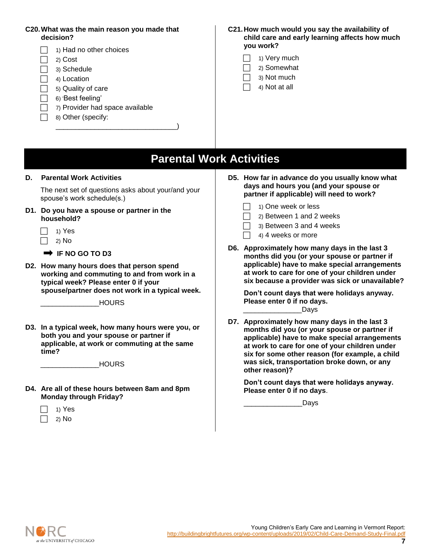## **C20.What was the main reason you made that decision?**

- 1) Had no other choices  $\Box$  2) Cost  $\Box$  3) Schedule  $\Box$  4) Location  $\Box$  5) Quality of care  $\Box$  6) 'Best feeling'  $\Box$  7) Provider had space available  $\Box$  8) Other (specify: \_\_\_\_\_\_\_\_\_\_\_\_\_\_\_\_\_\_\_\_\_\_\_\_\_\_\_\_\_\_\_)
- **C21.How much would you say the availability of child care and early learning affects how much you work?** 
	- 1) Very much
	- 2) Somewhat
	- 3) Not much
	- 4) Not at all

# **Parental Work Activities**

### **D. Parental Work Activities**

The next set of questions asks about your/and your spouse's work schedule(s.)

- **D1. Do you have a spouse or partner in the household?**
	- $\Box$  1) Yes  $\Box$  2) No

**IF NO GO TO D3** 

**D2. How many hours does that person spend working and commuting to and from work in a typical week? Please enter 0 if your spouse/partner does not work in a typical week.**

 $\_$ HOURS

**D3. In a typical week, how many hours were you, or both you and your spouse or partner if applicable, at work or commuting at the same time?**

 $\_$ HOURS

- **D4. Are all of these hours between 8am and 8pm Monday through Friday?**
	- $\Box$  1) Yes 2) No
- **D5. How far in advance do you usually know what days and hours you (and your spouse or partner if applicable) will need to work?** 
	- 1) One week or less
	- 2) Between 1 and 2 weeks
	- 3) Between 3 and 4 weeks
	- 4) 4 weeks or more
- **D6. Approximately how many days in the last 3 months did you (or your spouse or partner if applicable) have to make special arrangements at work to care for one of your children under six because a provider was sick or unavailable?**

**Don't count days that were holidays anyway. Please enter 0 if no days.** \_\_\_\_\_\_\_\_\_\_\_\_\_\_\_Days

**D7. Approximately how many days in the last 3 months did you (or your spouse or partner if applicable) have to make special arrangements at work to care for one of your children under six for some other reason (for example, a child was sick, transportation broke down, or any other reason)?** 

**Don't count days that were holidays anyway. Please enter 0 if no days**.

\_\_\_\_\_\_\_\_\_\_\_\_\_\_\_Days